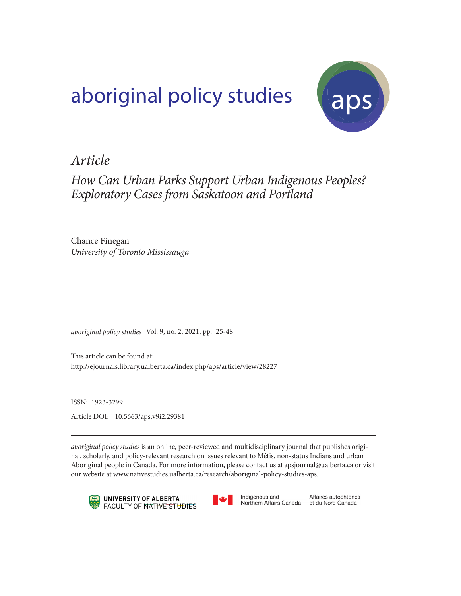# aboriginal policy studies (aps



# *Article*

*How Can Urban Parks Support Urban Indigenous Peoples? Exploratory Cases from Saskatoon and Portland*

Chance Finegan *University of Toronto Mississauga*

*aboriginal policy studies* Vol. 9, no. 2, 2021, pp. 25-48

This article can be found at: http://ejournals.library.ualberta.ca/index.php/aps/article/view/28227

ISSN: 1923-3299 Article DOI: 10.5663/aps.v9i2.29381

*aboriginal policy studies* is an online, peer-reviewed and multidisciplinary journal that publishes original, scholarly, and policy-relevant research on issues relevant to Métis, non-status Indians and urban Aboriginal people in Canada. For more information, please contact us at apsjournal@ualberta.ca or visit our website at www.nativestudies.ualberta.ca/research/aboriginal-policy-studies-aps.





Indigenous and Northern Affairs Canada

Affaires autochtones et du Nord Canada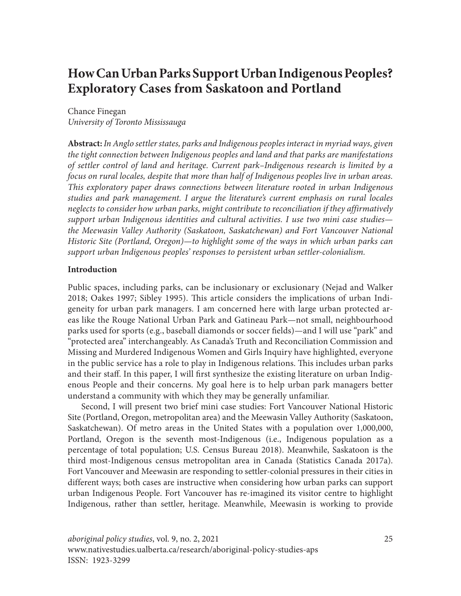# **How Can Urban Parks Support Urban Indigenous Peoples? Exploratory Cases from Saskatoon and Portland**

Chance Finegan *University of Toronto Mississauga*

**Abstract:** *In Anglo settler states, parks and Indigenous peoples interact in myriad ways, given the tight connection between Indigenous peoples and land and that parks are manifestations of settler control of land and heritage. Current park–Indigenous research is limited by a focus on rural locales, despite that more than half of Indigenous peoples live in urban areas. This exploratory paper draws connections between literature rooted in urban Indigenous studies and park management. I argue the literature's current emphasis on rural locales neglects to consider how urban parks, might contribute to reconciliation if they affirmatively support urban Indigenous identities and cultural activities. I use two mini case studies the Meewasin Valley Authority (Saskatoon, Saskatchewan) and Fort Vancouver National Historic Site (Portland, Oregon)—to highlight some of the ways in which urban parks can support urban Indigenous peoples' responses to persistent urban settler-colonialism.*

## **Introduction**

Public spaces, including parks, can be inclusionary or exclusionary (Nejad and Walker 2018; Oakes 1997; Sibley 1995). This article considers the implications of urban Indigeneity for urban park managers. I am concerned here with large urban protected areas like the Rouge National Urban Park and Gatineau Park—not small, neighbourhood parks used for sports (e.g., baseball diamonds or soccer fields)—and I will use "park" and "protected area" interchangeably. As Canada's Truth and Reconciliation Commission and Missing and Murdered Indigenous Women and Girls Inquiry have highlighted, everyone in the public service has a role to play in Indigenous relations. This includes urban parks and their staff. In this paper, I will first synthesize the existing literature on urban Indigenous People and their concerns. My goal here is to help urban park managers better understand a community with which they may be generally unfamiliar.

Second, I will present two brief mini case studies: Fort Vancouver National Historic Site (Portland, Oregon, metropolitan area) and the Meewasin Valley Authority (Saskatoon, Saskatchewan). Of metro areas in the United States with a population over 1,000,000, Portland, Oregon is the seventh most-Indigenous (i.e., Indigenous population as a percentage of total population; U.S. Census Bureau 2018). Meanwhile, Saskatoon is the third most-Indigenous census metropolitan area in Canada (Statistics Canada 2017a). Fort Vancouver and Meewasin are responding to settler-colonial pressures in their cities in different ways; both cases are instructive when considering how urban parks can support urban Indigenous People. Fort Vancouver has re-imagined its visitor centre to highlight Indigenous, rather than settler, heritage. Meanwhile, Meewasin is working to provide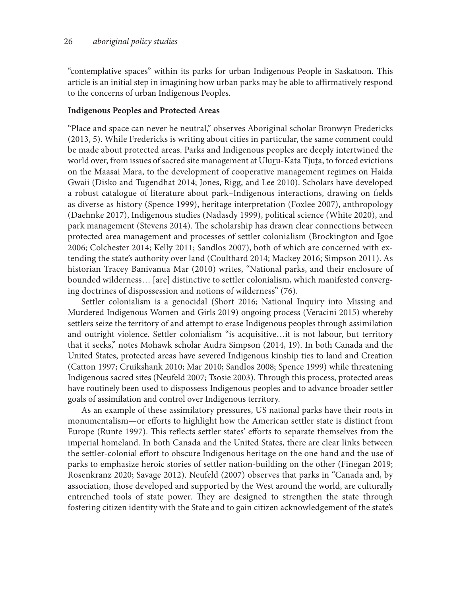"contemplative spaces" within its parks for urban Indigenous People in Saskatoon. This article is an initial step in imagining how urban parks may be able to affirmatively respond to the concerns of urban Indigenous Peoples.

#### **Indigenous Peoples and Protected Areas**

"Place and space can never be neutral," observes Aboriginal scholar Bronwyn Fredericks (2013, 5). While Fredericks is writing about cities in particular, the same comment could be made about protected areas. Parks and Indigenous peoples are deeply intertwined the world over, from issues of sacred site management at Uluru-Kata Tjura, to forced evictions on the Maasai Mara, to the development of cooperative management regimes on Haida Gwaii (Disko and Tugendhat 2014; Jones, Rigg, and Lee 2010). Scholars have developed a robust catalogue of literature about park–Indigenous interactions, drawing on fields as diverse as history (Spence 1999), heritage interpretation (Foxlee 2007), anthropology (Daehnke 2017), Indigenous studies (Nadasdy 1999), political science (White 2020), and park management (Stevens 2014). The scholarship has drawn clear connections between protected area management and processes of settler colonialism (Brockington and Igoe 2006; Colchester 2014; Kelly 2011; Sandlos 2007), both of which are concerned with extending the state's authority over land (Coulthard 2014; Mackey 2016; Simpson 2011). As historian Tracey Banivanua Mar (2010) writes, "National parks, and their enclosure of bounded wilderness… [are] distinctive to settler colonialism, which manifested converging doctrines of dispossession and notions of wilderness" (76).

Settler colonialism is a genocidal (Short 2016; National Inquiry into Missing and Murdered Indigenous Women and Girls 2019) ongoing process (Veracini 2015) whereby settlers seize the territory of and attempt to erase Indigenous peoples through assimilation and outright violence. Settler colonialism "is acquisitive…it is not labour, but territory that it seeks," notes Mohawk scholar Audra Simpson (2014, 19). In both Canada and the United States, protected areas have severed Indigenous kinship ties to land and Creation (Catton 1997; Cruikshank 2010; Mar 2010; Sandlos 2008; Spence 1999) while threatening Indigenous sacred sites (Neufeld 2007; Tsosie 2003). Through this process, protected areas have routinely been used to dispossess Indigenous peoples and to advance broader settler goals of assimilation and control over Indigenous territory.

As an example of these assimilatory pressures, US national parks have their roots in monumentalism—or efforts to highlight how the American settler state is distinct from Europe (Runte 1997). This reflects settler states' efforts to separate themselves from the imperial homeland. In both Canada and the United States, there are clear links between the settler-colonial effort to obscure Indigenous heritage on the one hand and the use of parks to emphasize heroic stories of settler nation-building on the other (Finegan 2019; Rosenkranz 2020; Savage 2012). Neufeld (2007) observes that parks in "Canada and, by association, those developed and supported by the West around the world, are culturally entrenched tools of state power. They are designed to strengthen the state through fostering citizen identity with the State and to gain citizen acknowledgement of the state's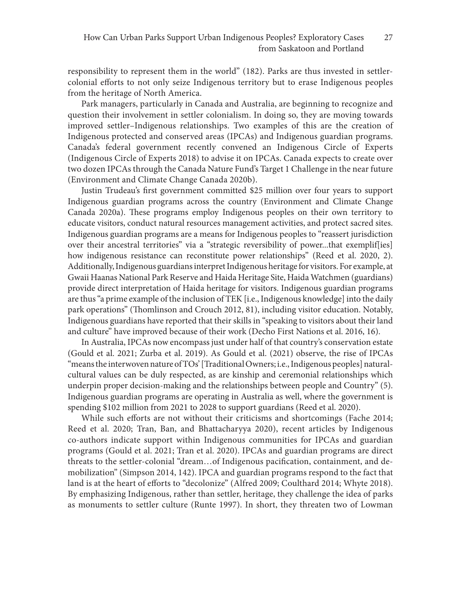responsibility to represent them in the world" (182). Parks are thus invested in settlercolonial efforts to not only seize Indigenous territory but to erase Indigenous peoples from the heritage of North America.

Park managers, particularly in Canada and Australia, are beginning to recognize and question their involvement in settler colonialism. In doing so, they are moving towards improved settler–Indigenous relationships. Two examples of this are the creation of Indigenous protected and conserved areas (IPCAs) and Indigenous guardian programs. Canada's federal government recently convened an Indigenous Circle of Experts (Indigenous Circle of Experts 2018) to advise it on IPCAs. Canada expects to create over two dozen IPCAs through the Canada Nature Fund's Target 1 Challenge in the near future (Environment and Climate Change Canada 2020b).

Justin Trudeau's first government committed \$25 million over four years to support Indigenous guardian programs across the country (Environment and Climate Change Canada 2020a). These programs employ Indigenous peoples on their own territory to educate visitors, conduct natural resources management activities, and protect sacred sites. Indigenous guardian programs are a means for Indigenous peoples to "reassert jurisdiction over their ancestral territories" via a "strategic reversibility of power...that exemplif[ies] how indigenous resistance can reconstitute power relationships" (Reed et al. 2020, 2). Additionally, Indigenous guardians interpret Indigenous heritage for visitors. For example, at Gwaii Haanas National Park Reserve and Haida Heritage Site, Haida Watchmen (guardians) provide direct interpretation of Haida heritage for visitors. Indigenous guardian programs are thus "a prime example of the inclusion of TEK [i.e., Indigenous knowledge] into the daily park operations" (Thomlinson and Crouch 2012, 81), including visitor education. Notably, Indigenous guardians have reported that their skills in "speaking to visitors about their land and culture" have improved because of their work (Decho First Nations et al. 2016, 16).

In Australia, IPCAs now encompass just under half of that country's conservation estate (Gould et al. 2021; Zurba et al. 2019). As Gould et al. (2021) observe, the rise of IPCAs "means the interwoven nature of TOs' [Traditional Owners; i.e., Indigenous peoples] naturalcultural values can be duly respected, as are kinship and ceremonial relationships which underpin proper decision-making and the relationships between people and Country" (5). Indigenous guardian programs are operating in Australia as well, where the government is spending \$102 million from 2021 to 2028 to support guardians (Reed et al. 2020).

While such efforts are not without their criticisms and shortcomings (Fache 2014; Reed et al. 2020; Tran, Ban, and Bhattacharyya 2020), recent articles by Indigenous co-authors indicate support within Indigenous communities for IPCAs and guardian programs (Gould et al. 2021; Tran et al. 2020). IPCAs and guardian programs are direct threats to the settler-colonial "dream…of Indigenous pacification, containment, and demobilization" (Simpson 2014, 142). IPCA and guardian programs respond to the fact that land is at the heart of efforts to "decolonize" (Alfred 2009; Coulthard 2014; Whyte 2018). By emphasizing Indigenous, rather than settler, heritage, they challenge the idea of parks as monuments to settler culture (Runte 1997). In short, they threaten two of Lowman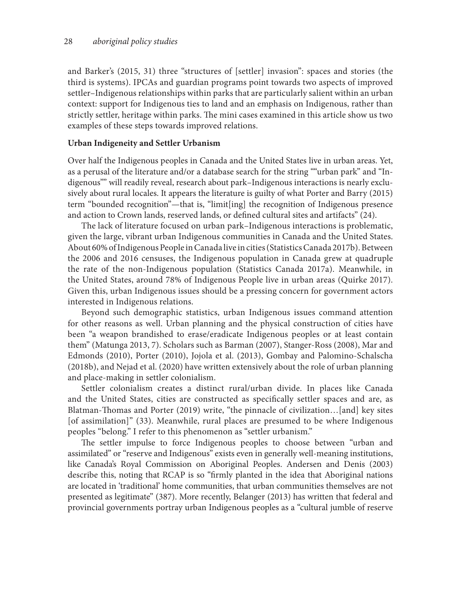and Barker's (2015, 31) three "structures of [settler] invasion": spaces and stories (the third is systems). IPCAs and guardian programs point towards two aspects of improved settler–Indigenous relationships within parks that are particularly salient within an urban context: support for Indigenous ties to land and an emphasis on Indigenous, rather than strictly settler, heritage within parks. The mini cases examined in this article show us two examples of these steps towards improved relations.

#### **Urban Indigeneity and Settler Urbanism**

Over half the Indigenous peoples in Canada and the United States live in urban areas. Yet, as a perusal of the literature and/or a database search for the string ""urban park" and "Indigenous"" will readily reveal, research about park–Indigenous interactions is nearly exclusively about rural locales. It appears the literature is guilty of what Porter and Barry (2015) term "bounded recognition"—that is, "limit[ing] the recognition of Indigenous presence and action to Crown lands, reserved lands, or defined cultural sites and artifacts" (24).

The lack of literature focused on urban park–Indigenous interactions is problematic, given the large, vibrant urban Indigenous communities in Canada and the United States. About 60% of Indigenous People in Canada live in cities (Statistics Canada 2017b). Between the 2006 and 2016 censuses, the Indigenous population in Canada grew at quadruple the rate of the non-Indigenous population (Statistics Canada 2017a). Meanwhile, in the United States, around 78% of Indigenous People live in urban areas (Quirke 2017). Given this, urban Indigenous issues should be a pressing concern for government actors interested in Indigenous relations.

Beyond such demographic statistics, urban Indigenous issues command attention for other reasons as well. Urban planning and the physical construction of cities have been "a weapon brandished to erase/eradicate Indigenous peoples or at least contain them" (Matunga 2013, 7). Scholars such as Barman (2007), Stanger-Ross (2008), Mar and Edmonds (2010), Porter (2010), Jojola et al. (2013), Gombay and Palomino-Schalscha (2018b), and Nejad et al. (2020) have written extensively about the role of urban planning and place-making in settler colonialism.

Settler colonialism creates a distinct rural/urban divide. In places like Canada and the United States, cities are constructed as specifically settler spaces and are, as Blatman‐Thomas and Porter (2019) write, "the pinnacle of civilization…[and] key sites [of assimilation]" (33). Meanwhile, rural places are presumed to be where Indigenous peoples "belong." I refer to this phenomenon as "settler urbanism."

The settler impulse to force Indigenous peoples to choose between "urban and assimilated" or "reserve and Indigenous" exists even in generally well-meaning institutions, like Canada's Royal Commission on Aboriginal Peoples. Andersen and Denis (2003) describe this, noting that RCAP is so "firmly planted in the idea that Aboriginal nations are located in 'traditional' home communities, that urban communities themselves are not presented as legitimate" (387). More recently, Belanger (2013) has written that federal and provincial governments portray urban Indigenous peoples as a "cultural jumble of reserve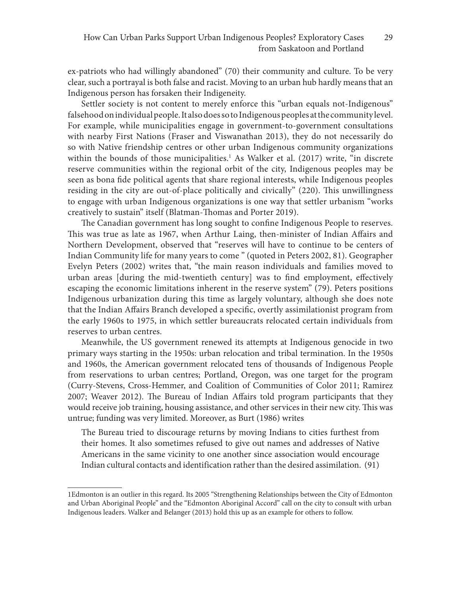ex-patriots who had willingly abandoned" (70) their community and culture. To be very clear, such a portrayal is both false and racist. Moving to an urban hub hardly means that an Indigenous person has forsaken their Indigeneity.

Settler society is not content to merely enforce this "urban equals not-Indigenous" falsehood on individual people. It also does so to Indigenous peoples at the community level. For example, while municipalities engage in government-to-government consultations with nearby First Nations (Fraser and Viswanathan 2013), they do not necessarily do so with Native friendship centres or other urban Indigenous community organizations within the bounds of those municipalities.1 As Walker et al. (2017) write, "in discrete reserve communities within the regional orbit of the city, Indigenous peoples may be seen as bona fide political agents that share regional interests, while Indigenous peoples residing in the city are out-of-place politically and civically" (220). This unwillingness to engage with urban Indigenous organizations is one way that settler urbanism "works creatively to sustain" itself (Blatman-Thomas and Porter 2019).

The Canadian government has long sought to confine Indigenous People to reserves. This was true as late as 1967, when Arthur Laing, then-minister of Indian Affairs and Northern Development, observed that "reserves will have to continue to be centers of Indian Community life for many years to come " (quoted in Peters 2002, 81). Geographer Evelyn Peters (2002) writes that, "the main reason individuals and families moved to urban areas [during the mid-twentieth century] was to find employment, effectively escaping the economic limitations inherent in the reserve system" (79). Peters positions Indigenous urbanization during this time as largely voluntary, although she does note that the Indian Affairs Branch developed a specific, overtly assimilationist program from the early 1960s to 1975, in which settler bureaucrats relocated certain individuals from reserves to urban centres.

Meanwhile, the US government renewed its attempts at Indigenous genocide in two primary ways starting in the 1950s: urban relocation and tribal termination. In the 1950s and 1960s, the American government relocated tens of thousands of Indigenous People from reservations to urban centres; Portland, Oregon, was one target for the program (Curry-Stevens, Cross-Hemmer, and Coalition of Communities of Color 2011; Ramirez 2007; Weaver 2012). The Bureau of Indian Affairs told program participants that they would receive job training, housing assistance, and other services in their new city. This was untrue; funding was very limited. Moreover, as Burt (1986) writes

The Bureau tried to discourage returns by moving Indians to cities furthest from their homes. It also sometimes refused to give out names and addresses of Native Americans in the same vicinity to one another since association would encourage Indian cultural contacts and identification rather than the desired assimilation. (91)

<sup>1</sup>Edmonton is an outlier in this regard. Its 2005 "Strengthening Relationships between the City of Edmonton and Urban Aboriginal People" and the "Edmonton Aboriginal Accord" call on the city to consult with urban Indigenous leaders. Walker and Belanger (2013) hold this up as an example for others to follow.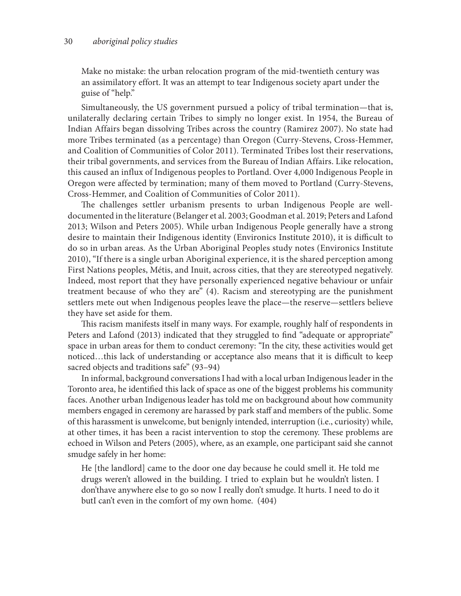Make no mistake: the urban relocation program of the mid-twentieth century was an assimilatory effort. It was an attempt to tear Indigenous society apart under the guise of "help."

Simultaneously, the US government pursued a policy of tribal termination—that is, unilaterally declaring certain Tribes to simply no longer exist. In 1954, the Bureau of Indian Affairs began dissolving Tribes across the country (Ramirez 2007). No state had more Tribes terminated (as a percentage) than Oregon (Curry-Stevens, Cross-Hemmer, and Coalition of Communities of Color 2011). Terminated Tribes lost their reservations, their tribal governments, and services from the Bureau of Indian Affairs. Like relocation, this caused an influx of Indigenous peoples to Portland. Over 4,000 Indigenous People in Oregon were affected by termination; many of them moved to Portland (Curry-Stevens, Cross-Hemmer, and Coalition of Communities of Color 2011).

The challenges settler urbanism presents to urban Indigenous People are welldocumented in the literature (Belanger et al. 2003; Goodman et al. 2019; Peters and Lafond 2013; Wilson and Peters 2005). While urban Indigenous People generally have a strong desire to maintain their Indigenous identity (Environics Institute 2010), it is difficult to do so in urban areas. As the Urban Aboriginal Peoples study notes (Environics Institute 2010), "If there is a single urban Aboriginal experience, it is the shared perception among First Nations peoples, Métis, and Inuit, across cities, that they are stereotyped negatively. Indeed, most report that they have personally experienced negative behaviour or unfair treatment because of who they are" (4). Racism and stereotyping are the punishment settlers mete out when Indigenous peoples leave the place—the reserve—settlers believe they have set aside for them.

This racism manifests itself in many ways. For example, roughly half of respondents in Peters and Lafond (2013) indicated that they struggled to find "adequate or appropriate" space in urban areas for them to conduct ceremony: "In the city, these activities would get noticed…this lack of understanding or acceptance also means that it is difficult to keep sacred objects and traditions safe" (93–94)

In informal, background conversations I had with a local urban Indigenous leader in the Toronto area, he identified this lack of space as one of the biggest problems his community faces. Another urban Indigenous leader has told me on background about how community members engaged in ceremony are harassed by park staff and members of the public. Some of this harassment is unwelcome, but benignly intended, interruption (i.e., curiosity) while, at other times, it has been a racist intervention to stop the ceremony. These problems are echoed in Wilson and Peters (2005), where, as an example, one participant said she cannot smudge safely in her home:

He [the landlord] came to the door one day because he could smell it. He told me drugs weren't allowed in the building. I tried to explain but he wouldn't listen. I don'thave anywhere else to go so now I really don't smudge. It hurts. I need to do it butI can't even in the comfort of my own home. (404)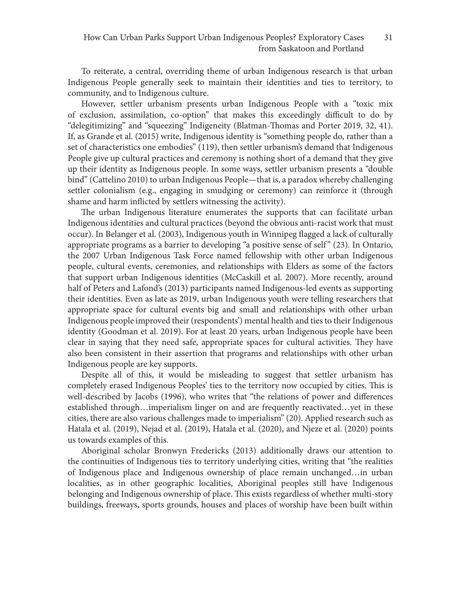To reiterate, a central, overriding theme of urban Indigenous research is that urban Indigenous People generally seek to maintain their identities and ties to territory, to community, and to Indigenous culture.

However, settler urbanism presents urban Indigenous People with a "toxic mix of exclusion, assimilation, co-option" that makes this exceedingly difficult to do by "delegitimizing" and "squeezing" Indigeneity (Blatman-Thomas and Porter 2019, 32, 41). If, as Grande et al. (2015) write, Indigenous identity is "something people do, rather than a set of characteristics one embodies" (119), then settler urbanism's demand that Indigenous People give up cultural practices and ceremony is nothing short of a demand that they give up their identity as Indigenous people. In some ways, settler urbanism presents a "double bind" (Cattelino 2010) to urban Indigenous People—that is, a paradox whereby challenging settler colonialism (e.g., engaging in smudging or ceremony) can reinforce it (through shame and harm inflicted by settlers witnessing the activity).

The urban Indigenous literature enumerates the supports that can facilitate urban Indigenous identities and cultural practices (beyond the obvious anti-racist work that must occur). In Belanger et al. (2003), Indigenous youth in Winnipeg flagged a lack of culturally appropriate programs as a barrier to developing "a positive sense of self" (23). In Ontario, the 2007 Urban Indigenous Task Force named fellowship with other urban Indigenous people, cultural events, ceremonies, and relationships with Elders as some of the factors that support urban Indigenous identities (McCaskill et al. 2007). More recently, around half of Peters and Lafond's (2013) participants named Indigenous-led events as supporting their identities. Even as late as 2019, urban Indigenous youth were telling researchers that appropriate space for cultural events big and small and relationships with other urban Indigenous people improved their (respondents') mental health and ties to their Indigenous identity (Goodman et al. 2019). For at least 20 years, urban Indigenous people have been clear in saying that they need safe, appropriate spaces for cultural activities. They have also been consistent in their assertion that programs and relationships with other urban Indigenous people are key supports.

Despite all of this, it would be misleading to suggest that settler urbanism has completely erased Indigenous Peoples' ties to the territory now occupied by cities. This is well-described by Jacobs (1996), who writes that "the relations of power and differences established through…imperialism linger on and are frequently reactivated…yet in these cities, there are also various challenges made to imperialism" (20). Applied research such as Hatala et al. (2019), Nejad et al. (2019), Hatala et al. (2020), and Njeze et al. (2020) points us towards examples of this.

Aboriginal scholar Bronwyn Fredericks (2013) additionally draws our attention to the continuities of Indigenous ties to territory underlying cities, writing that "the realities of Indigenous place and Indigenous ownership of place remain unchanged…in urban localities, as in other geographic localities, Aboriginal peoples still have Indigenous belonging and Indigenous ownership of place. This exists regardless of whether multi-story buildings, freeways, sports grounds, houses and places of worship have been built within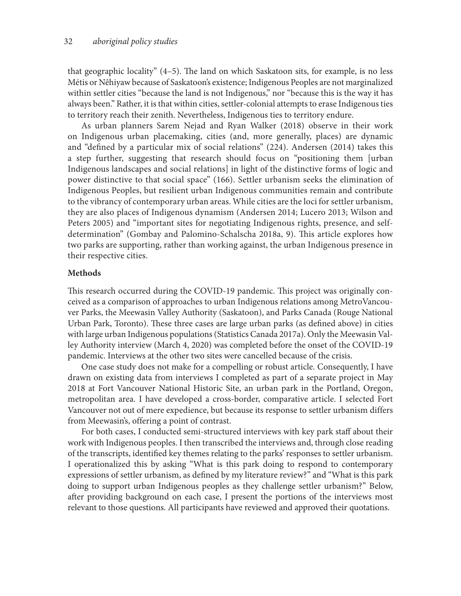that geographic locality" (4–5). The land on which Saskatoon sits, for example, is no less Métis or Nêhiyaw because of Saskatoon's existence; Indigenous Peoples are not marginalized within settler cities "because the land is not Indigenous," nor "because this is the way it has always been." Rather, it is that within cities, settler-colonial attempts to erase Indigenous ties to territory reach their zenith. Nevertheless, Indigenous ties to territory endure.

As urban planners Sarem Nejad and Ryan Walker (2018) observe in their work on Indigenous urban placemaking, cities (and, more generally, places) are dynamic and "defined by a particular mix of social relations" (224). Andersen (2014) takes this a step further, suggesting that research should focus on "positioning them [urban Indigenous landscapes and social relations] in light of the distinctive forms of logic and power distinctive to that social space" (166). Settler urbanism seeks the elimination of Indigenous Peoples, but resilient urban Indigenous communities remain and contribute to the vibrancy of contemporary urban areas. While cities are the loci for settler urbanism, they are also places of Indigenous dynamism (Andersen 2014; Lucero 2013; Wilson and Peters 2005) and "important sites for negotiating Indigenous rights, presence, and selfdetermination" (Gombay and Palomino-Schalscha 2018a, 9). This article explores how two parks are supporting, rather than working against, the urban Indigenous presence in their respective cities.

#### **Methods**

This research occurred during the COVID-19 pandemic. This project was originally conceived as a comparison of approaches to urban Indigenous relations among MetroVancouver Parks, the Meewasin Valley Authority (Saskatoon), and Parks Canada (Rouge National Urban Park, Toronto). These three cases are large urban parks (as defined above) in cities with large urban Indigenous populations (Statistics Canada 2017a). Only the Meewasin Valley Authority interview (March 4, 2020) was completed before the onset of the COVID-19 pandemic. Interviews at the other two sites were cancelled because of the crisis.

One case study does not make for a compelling or robust article. Consequently, I have drawn on existing data from interviews I completed as part of a separate project in May 2018 at Fort Vancouver National Historic Site, an urban park in the Portland, Oregon, metropolitan area. I have developed a cross-border, comparative article. I selected Fort Vancouver not out of mere expedience, but because its response to settler urbanism differs from Meewasin's, offering a point of contrast.

For both cases, I conducted semi-structured interviews with key park staff about their work with Indigenous peoples. I then transcribed the interviews and, through close reading of the transcripts, identified key themes relating to the parks' responses to settler urbanism. I operationalized this by asking "What is this park doing to respond to contemporary expressions of settler urbanism, as defined by my literature review?" and "What is this park doing to support urban Indigenous peoples as they challenge settler urbanism?" Below, after providing background on each case, I present the portions of the interviews most relevant to those questions. All participants have reviewed and approved their quotations.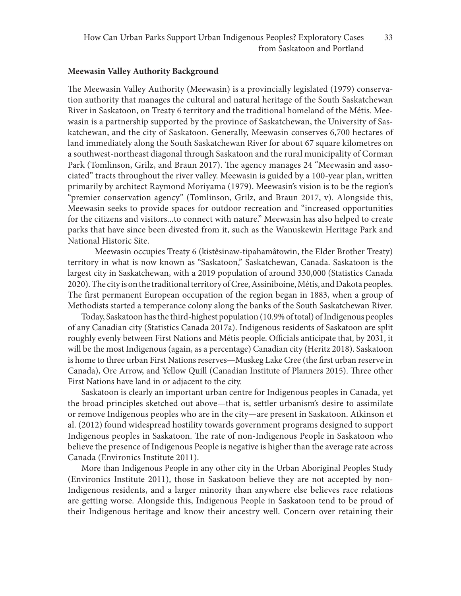#### **Meewasin Valley Authority Background**

The Meewasin Valley Authority (Meewasin) is a provincially legislated (1979) conservation authority that manages the cultural and natural heritage of the South Saskatchewan River in Saskatoon, on Treaty 6 territory and the traditional homeland of the Métis. Meewasin is a partnership supported by the province of Saskatchewan, the University of Saskatchewan, and the city of Saskatoon. Generally, Meewasin conserves 6,700 hectares of land immediately along the South Saskatchewan River for about 67 square kilometres on a southwest-northeast diagonal through Saskatoon and the rural municipality of Corman Park (Tomlinson, Grilz, and Braun 2017). The agency manages 24 "Meewasin and associated" tracts throughout the river valley. Meewasin is guided by a 100-year plan, written primarily by architect Raymond Moriyama (1979). Meewasin's vision is to be the region's "premier conservation agency" (Tomlinson, Grilz, and Braun 2017, v). Alongside this, Meewasin seeks to provide spaces for outdoor recreation and "increased opportunities for the citizens and visitors...to connect with nature." Meewasin has also helped to create parks that have since been divested from it, such as the Wanuskewin Heritage Park and National Historic Site.

Meewasin occupies Treaty 6 (kistêsinaw-tipahamâtowin, the Elder Brother Treaty) territory in what is now known as "Saskatoon," Saskatchewan, Canada. Saskatoon is the largest city in Saskatchewan, with a 2019 population of around 330,000 (Statistics Canada 2020). The city is on the traditional territory of Cree, Assiniboine, Métis, and Dakota peoples. The first permanent European occupation of the region began in 1883, when a group of Methodists started a temperance colony along the banks of the South Saskatchewan River.

Today, Saskatoon has the third-highest population (10.9% of total) of Indigenous peoples of any Canadian city (Statistics Canada 2017a). Indigenous residents of Saskatoon are split roughly evenly between First Nations and Métis people. Officials anticipate that, by 2031, it will be the most Indigenous (again, as a percentage) Canadian city (Heritz 2018). Saskatoon is home to three urban First Nations reserves—Muskeg Lake Cree (the first urban reserve in Canada), Ore Arrow, and Yellow Quill (Canadian Institute of Planners 2015). Three other First Nations have land in or adjacent to the city.

Saskatoon is clearly an important urban centre for Indigenous peoples in Canada, yet the broad principles sketched out above—that is, settler urbanism's desire to assimilate or remove Indigenous peoples who are in the city—are present in Saskatoon. Atkinson et al. (2012) found widespread hostility towards government programs designed to support Indigenous peoples in Saskatoon. The rate of non-Indigenous People in Saskatoon who believe the presence of Indigenous People is negative is higher than the average rate across Canada (Environics Institute 2011).

More than Indigenous People in any other city in the Urban Aboriginal Peoples Study (Environics Institute 2011), those in Saskatoon believe they are not accepted by non-Indigenous residents, and a larger minority than anywhere else believes race relations are getting worse. Alongside this, Indigenous People in Saskatoon tend to be proud of their Indigenous heritage and know their ancestry well. Concern over retaining their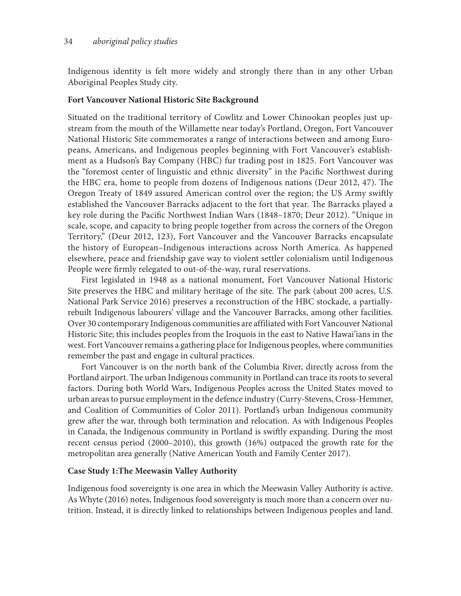Indigenous identity is felt more widely and strongly there than in any other Urban Aboriginal Peoples Study city.

#### **Fort Vancouver National Historic Site Background**

Situated on the traditional territory of Cowlitz and Lower Chinookan peoples just upstream from the mouth of the Willamette near today's Portland, Oregon, Fort Vancouver National Historic Site commemorates a range of interactions between and among Europeans, Americans, and Indigenous peoples beginning with Fort Vancouver's establishment as a Hudson's Bay Company (HBC) fur trading post in 1825. Fort Vancouver was the "foremost center of linguistic and ethnic diversity" in the Pacific Northwest during the HBC era, home to people from dozens of Indigenous nations (Deur 2012, 47). The Oregon Treaty of 1849 assured American control over the region; the US Army swiftly established the Vancouver Barracks adjacent to the fort that year. The Barracks played a key role during the Pacific Northwest Indian Wars (1848–1870; Deur 2012). "Unique in scale, scope, and capacity to bring people together from across the corners of the Oregon Territory," (Deur 2012, 123), Fort Vancouver and the Vancouver Barracks encapsulate the history of European–Indigenous interactions across North America. As happened elsewhere, peace and friendship gave way to violent settler colonialism until Indigenous People were firmly relegated to out-of-the-way, rural reservations.

First legislated in 1948 as a national monument, Fort Vancouver National Historic Site preserves the HBC and military heritage of the site. The park (about 200 acres, U.S. National Park Service 2016) preserves a reconstruction of the HBC stockade, a partiallyrebuilt Indigenous labourers' village and the Vancouver Barracks, among other facilities. Over 30 contemporary Indigenous communities are affiliated with Fort Vancouver National Historic Site; this includes peoples from the Iroquois in the east to Native Hawai'ians in the west. Fort Vancouver remains a gathering place for Indigenous peoples, where communities remember the past and engage in cultural practices.

Fort Vancouver is on the north bank of the Columbia River, directly across from the Portland airport. The urban Indigenous community in Portland can trace its roots to several factors. During both World Wars, Indigenous Peoples across the United States moved to urban areas to pursue employment in the defence industry (Curry-Stevens, Cross-Hemmer, and Coalition of Communities of Color 2011). Portland's urban Indigenous community grew after the war, through both termination and relocation. As with Indigenous Peoples in Canada, the Indigenous community in Portland is swiftly expanding. During the most recent census period (2000–2010), this growth (16%) outpaced the growth rate for the metropolitan area generally (Native American Youth and Family Center 2017).

#### **Case Study 1:The Meewasin Valley Authority**

Indigenous food sovereignty is one area in which the Meewasin Valley Authority is active. As Whyte (2016) notes, Indigenous food sovereignty is much more than a concern over nutrition. Instead, it is directly linked to relationships between Indigenous peoples and land.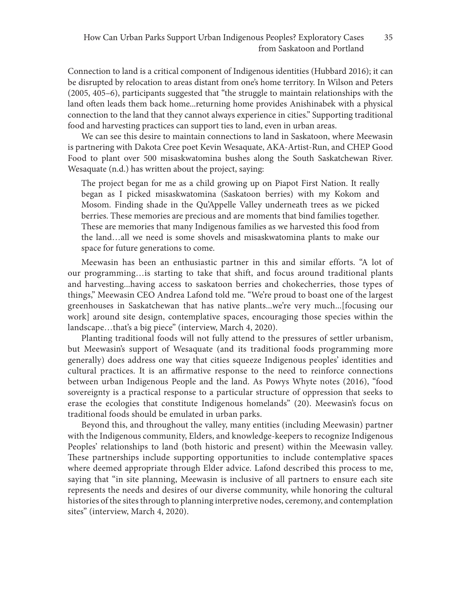Connection to land is a critical component of Indigenous identities (Hubbard 2016); it can be disrupted by relocation to areas distant from one's home territory. In Wilson and Peters (2005, 405–6), participants suggested that "the struggle to maintain relationships with the land often leads them back home...returning home provides Anishinabek with a physical connection to the land that they cannot always experience in cities." Supporting traditional food and harvesting practices can support ties to land, even in urban areas.

We can see this desire to maintain connections to land in Saskatoon, where Meewasin is partnering with Dakota Cree poet Kevin Wesaquate, AKA-Artist-Run, and CHEP Good Food to plant over 500 misaskwatomina bushes along the South Saskatchewan River. Wesaquate (n.d.) has written about the project, saying:

The project began for me as a child growing up on Piapot First Nation. It really began as I picked misaskwatomina (Saskatoon berries) with my Kokom and Mosom. Finding shade in the Qu'Appelle Valley underneath trees as we picked berries. These memories are precious and are moments that bind families together. These are memories that many Indigenous families as we harvested this food from the land…all we need is some shovels and misaskwatomina plants to make our space for future generations to come.

Meewasin has been an enthusiastic partner in this and similar efforts. "A lot of our programming…is starting to take that shift, and focus around traditional plants and harvesting...having access to saskatoon berries and chokecherries, those types of things," Meewasin CEO Andrea Lafond told me. "We're proud to boast one of the largest greenhouses in Saskatchewan that has native plants...we're very much...[focusing our work] around site design, contemplative spaces, encouraging those species within the landscape…that's a big piece" (interview, March 4, 2020).

Planting traditional foods will not fully attend to the pressures of settler urbanism, but Meewasin's support of Wesaquate (and its traditional foods programming more generally) does address one way that cities squeeze Indigenous peoples' identities and cultural practices. It is an affirmative response to the need to reinforce connections between urban Indigenous People and the land. As Powys Whyte notes (2016), "food sovereignty is a practical response to a particular structure of oppression that seeks to erase the ecologies that constitute Indigenous homelands" (20). Meewasin's focus on traditional foods should be emulated in urban parks.

Beyond this, and throughout the valley, many entities (including Meewasin) partner with the Indigenous community, Elders, and knowledge-keepers to recognize Indigenous Peoples' relationships to land (both historic and present) within the Meewasin valley. These partnerships include supporting opportunities to include contemplative spaces where deemed appropriate through Elder advice. Lafond described this process to me, saying that "in site planning, Meewasin is inclusive of all partners to ensure each site represents the needs and desires of our diverse community, while honoring the cultural histories of the sites through to planning interpretive nodes, ceremony, and contemplation sites" (interview, March 4, 2020).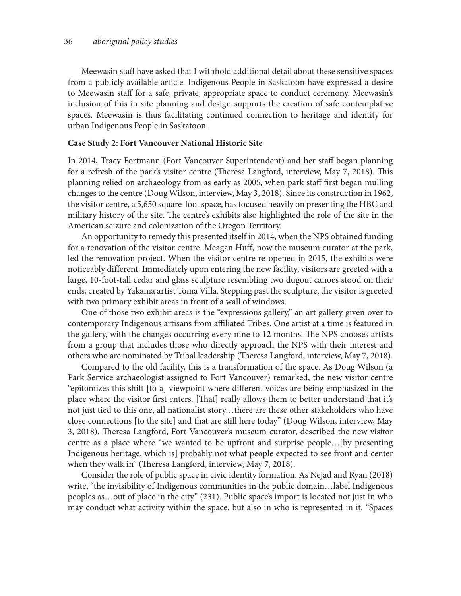Meewasin staff have asked that I withhold additional detail about these sensitive spaces from a publicly available article. Indigenous People in Saskatoon have expressed a desire to Meewasin staff for a safe, private, appropriate space to conduct ceremony. Meewasin's inclusion of this in site planning and design supports the creation of safe contemplative spaces. Meewasin is thus facilitating continued connection to heritage and identity for urban Indigenous People in Saskatoon.

#### **Case Study 2: Fort Vancouver National Historic Site**

In 2014, Tracy Fortmann (Fort Vancouver Superintendent) and her staff began planning for a refresh of the park's visitor centre (Theresa Langford, interview, May 7, 2018). This planning relied on archaeology from as early as 2005, when park staff first began mulling changes to the centre (Doug Wilson, interview, May 3, 2018). Since its construction in 1962, the visitor centre, a 5,650 square-foot space, has focused heavily on presenting the HBC and military history of the site. The centre's exhibits also highlighted the role of the site in the American seizure and colonization of the Oregon Territory.

An opportunity to remedy this presented itself in 2014, when the NPS obtained funding for a renovation of the visitor centre. Meagan Huff, now the museum curator at the park, led the renovation project. When the visitor centre re-opened in 2015, the exhibits were noticeably different. Immediately upon entering the new facility, visitors are greeted with a large, 10-foot-tall cedar and glass sculpture resembling two dugout canoes stood on their ends, created by Yakama artist Toma Villa. Stepping past the sculpture, the visitor is greeted with two primary exhibit areas in front of a wall of windows.

One of those two exhibit areas is the "expressions gallery," an art gallery given over to contemporary Indigenous artisans from affiliated Tribes. One artist at a time is featured in the gallery, with the changes occurring every nine to 12 months. The NPS chooses artists from a group that includes those who directly approach the NPS with their interest and others who are nominated by Tribal leadership (Theresa Langford, interview, May 7, 2018).

Compared to the old facility, this is a transformation of the space. As Doug Wilson (a Park Service archaeologist assigned to Fort Vancouver) remarked, the new visitor centre "epitomizes this shift [to a] viewpoint where different voices are being emphasized in the place where the visitor first enters. [That] really allows them to better understand that it's not just tied to this one, all nationalist story…there are these other stakeholders who have close connections [to the site] and that are still here today" (Doug Wilson, interview, May 3, 2018). Theresa Langford, Fort Vancouver's museum curator, described the new visitor centre as a place where "we wanted to be upfront and surprise people…[by presenting Indigenous heritage, which is] probably not what people expected to see front and center when they walk in" (Theresa Langford, interview, May 7, 2018).

Consider the role of public space in civic identity formation. As Nejad and Ryan (2018) write, "the invisibility of Indigenous communities in the public domain…label Indigenous peoples as…out of place in the city" (231). Public space's import is located not just in who may conduct what activity within the space, but also in who is represented in it. "Spaces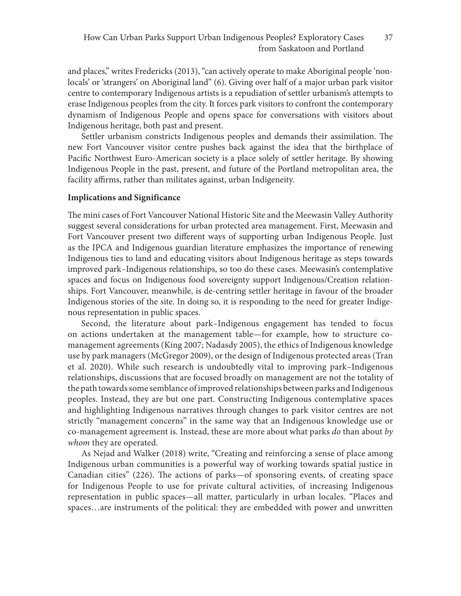and places," writes Fredericks (2013), "can actively operate to make Aboriginal people 'nonlocals' or 'strangers' on Aboriginal land" (6). Giving over half of a major urban park visitor centre to contemporary Indigenous artists is a repudiation of settler urbanism's attempts to erase Indigenous peoples from the city. It forces park visitors to confront the contemporary dynamism of Indigenous People and opens space for conversations with visitors about Indigenous heritage, both past and present.

Settler urbanism constricts Indigenous peoples and demands their assimilation. The new Fort Vancouver visitor centre pushes back against the idea that the birthplace of Pacific Northwest Euro-American society is a place solely of settler heritage. By showing Indigenous People in the past, present, and future of the Portland metropolitan area, the facility affirms, rather than militates against, urban Indigeneity.

#### **Implications and Significance**

The mini cases of Fort Vancouver National Historic Site and the Meewasin Valley Authority suggest several considerations for urban protected area management. First, Meewasin and Fort Vancouver present two different ways of supporting urban Indigenous People. Just as the IPCA and Indigenous guardian literature emphasizes the importance of renewing Indigenous ties to land and educating visitors about Indigenous heritage as steps towards improved park–Indigenous relationships, so too do these cases. Meewasin's contemplative spaces and focus on Indigenous food sovereignty support Indigenous/Creation relationships. Fort Vancouver, meanwhile, is de-centring settler heritage in favour of the broader Indigenous stories of the site. In doing so, it is responding to the need for greater Indigenous representation in public spaces.

Second, the literature about park–Indigenous engagement has tended to focus on actions undertaken at the management table—for example, how to structure comanagement agreements (King 2007; Nadasdy 2005), the ethics of Indigenous knowledge use by park managers (McGregor 2009), or the design of Indigenous protected areas (Tran et al. 2020). While such research is undoubtedly vital to improving park–Indigenous relationships, discussions that are focused broadly on management are not the totality of the path towards some semblance of improved relationships between parks and Indigenous peoples. Instead, they are but one part. Constructing Indigenous contemplative spaces and highlighting Indigenous narratives through changes to park visitor centres are not strictly "management concerns" in the same way that an Indigenous knowledge use or co-management agreement is. Instead, these are more about what parks *do* than about *by whom* they are operated.

As Nejad and Walker (2018) write, "Creating and reinforcing a sense of place among Indigenous urban communities is a powerful way of working towards spatial justice in Canadian cities" (226). The actions of parks—of sponsoring events, of creating space for Indigenous People to use for private cultural activities, of increasing Indigenous representation in public spaces—all matter, particularly in urban locales. "Places and spaces…are instruments of the political: they are embedded with power and unwritten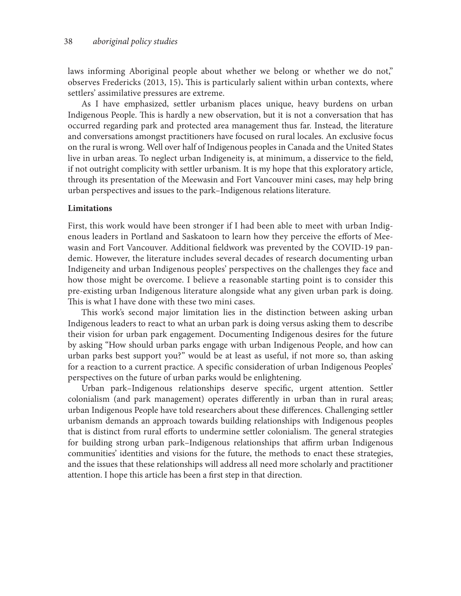laws informing Aboriginal people about whether we belong or whether we do not," observes Fredericks (2013, 15)**.** This is particularly salient within urban contexts, where settlers' assimilative pressures are extreme.

As I have emphasized, settler urbanism places unique, heavy burdens on urban Indigenous People. This is hardly a new observation, but it is not a conversation that has occurred regarding park and protected area management thus far. Instead, the literature and conversations amongst practitioners have focused on rural locales. An exclusive focus on the rural is wrong. Well over half of Indigenous peoples in Canada and the United States live in urban areas. To neglect urban Indigeneity is, at minimum, a disservice to the field, if not outright complicity with settler urbanism. It is my hope that this exploratory article, through its presentation of the Meewasin and Fort Vancouver mini cases, may help bring urban perspectives and issues to the park–Indigenous relations literature.

#### **Limitations**

First, this work would have been stronger if I had been able to meet with urban Indigenous leaders in Portland and Saskatoon to learn how they perceive the efforts of Meewasin and Fort Vancouver. Additional fieldwork was prevented by the COVID-19 pandemic. However, the literature includes several decades of research documenting urban Indigeneity and urban Indigenous peoples' perspectives on the challenges they face and how those might be overcome. I believe a reasonable starting point is to consider this pre-existing urban Indigenous literature alongside what any given urban park is doing. This is what I have done with these two mini cases.

This work's second major limitation lies in the distinction between asking urban Indigenous leaders to react to what an urban park is doing versus asking them to describe their vision for urban park engagement. Documenting Indigenous desires for the future by asking "How should urban parks engage with urban Indigenous People, and how can urban parks best support you?" would be at least as useful, if not more so, than asking for a reaction to a current practice. A specific consideration of urban Indigenous Peoples' perspectives on the future of urban parks would be enlightening.

Urban park–Indigenous relationships deserve specific, urgent attention. Settler colonialism (and park management) operates differently in urban than in rural areas; urban Indigenous People have told researchers about these differences. Challenging settler urbanism demands an approach towards building relationships with Indigenous peoples that is distinct from rural efforts to undermine settler colonialism. The general strategies for building strong urban park–Indigenous relationships that affirm urban Indigenous communities' identities and visions for the future, the methods to enact these strategies, and the issues that these relationships will address all need more scholarly and practitioner attention. I hope this article has been a first step in that direction.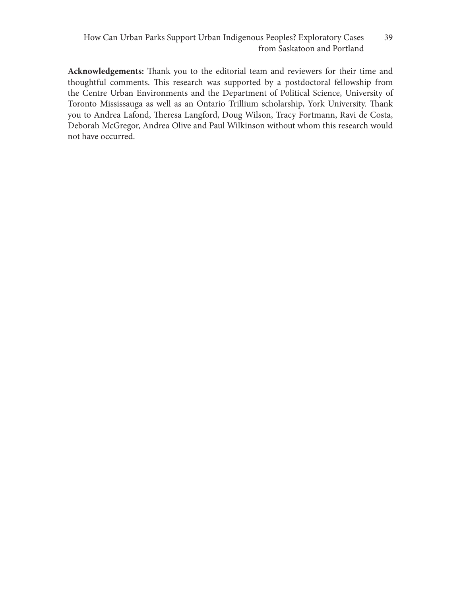**Acknowledgements:** Thank you to the editorial team and reviewers for their time and thoughtful comments. This research was supported by a postdoctoral fellowship from the Centre Urban Environments and the Department of Political Science, University of Toronto Mississauga as well as an Ontario Trillium scholarship, York University. Thank you to Andrea Lafond, Theresa Langford, Doug Wilson, Tracy Fortmann, Ravi de Costa, Deborah McGregor, Andrea Olive and Paul Wilkinson without whom this research would not have occurred.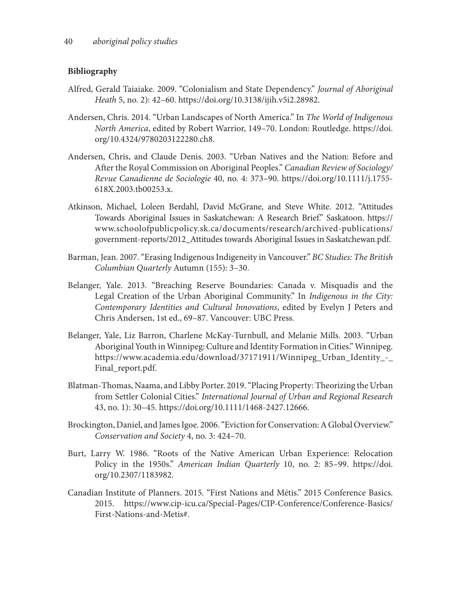### **Bibliography**

- Alfred, Gerald Taiaiake. 2009. "Colonialism and State Dependency." *Journal of Aboriginal Heath* 5, no. 2): 42–60. https://doi.org/10.3138/ijih.v5i2.28982.
- Andersen, Chris. 2014. "Urban Landscapes of North America." In *The World of Indigenous North America*, edited by Robert Warrior, 149–70. London: Routledge. https://doi. org/10.4324/9780203122280.ch8.
- Andersen, Chris, and Claude Denis. 2003. "Urban Natives and the Nation: Before and After the Royal Commission on Aboriginal Peoples." *Canadian Review of Sociology/ Revue Canadienne de Sociologie* 40, no. 4: 373–90. https://doi.org/10.1111/j.1755- 618X.2003.tb00253.x.
- Atkinson, Michael, Loleen Berdahl, David McGrane, and Steve White. 2012. "Attitudes Towards Aboriginal Issues in Saskatchewan: A Research Brief." Saskatoon. https:// www.schoolofpublicpolicy.sk.ca/documents/research/archived-publications/ government-reports/2012\_Attitudes towards Aboriginal Issues in Saskatchewan.pdf.
- Barman, Jean. 2007. "Erasing Indigenous Indigeneity in Vancouver." *BC Studies: The British Columbian Quarterly* Autumn (155): 3–30.
- Belanger, Yale. 2013. "Breaching Reserve Boundaries: Canada v. Misquadis and the Legal Creation of the Urban Aboriginal Community." In *Indigenous in the City: Contemporary Identities and Cultural Innovations*, edited by Evelyn J Peters and Chris Andersen, 1st ed., 69–87. Vancouver: UBC Press.
- Belanger, Yale, Liz Barron, Charlene McKay-Turnbull, and Melanie Mills. 2003. "Urban Aboriginal Youth in Winnipeg: Culture and Identity Formation in Cities." Winnipeg. https://www.academia.edu/download/37171911/Winnipeg\_Urban\_Identity\_-\_ Final\_report.pdf.
- Blatman-Thomas, Naama, and Libby Porter. 2019. "Placing Property: Theorizing the Urban from Settler Colonial Cities." *International Journal of Urban and Regional Research* 43, no. 1): 30–45. https://doi.org/10.1111/1468-2427.12666.
- Brockington, Daniel, and James Igoe. 2006. "Eviction for Conservation: A Global Overview." *Conservation and Society* 4, no. 3: 424–70.
- Burt, Larry W. 1986. "Roots of the Native American Urban Experience: Relocation Policy in the 1950s." *American Indian Quarterly* 10, no. 2: 85–99. https://doi. org/10.2307/1183982.
- Canadian Institute of Planners. 2015. "First Nations and Métis." 2015 Conference Basics. 2015. https://www.cip-icu.ca/Special-Pages/CIP-Conference/Conference-Basics/ First-Nations-and-Metis#.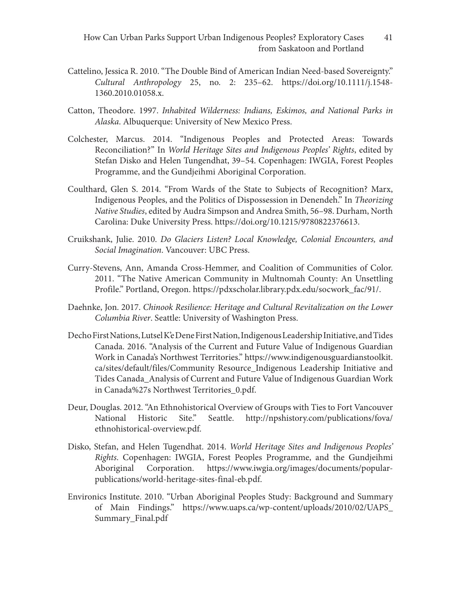- Cattelino, Jessica R. 2010. "The Double Bind of American Indian Need‐based Sovereignty." *Cultural Anthropology* 25, no. 2: 235–62. https://doi.org/10.1111/j.1548- 1360.2010.01058.x.
- Catton, Theodore. 1997. *Inhabited Wilderness: Indians, Eskimos, and National Parks in Alaska*. Albuquerque: University of New Mexico Press.
- Colchester, Marcus. 2014. "Indigenous Peoples and Protected Areas: Towards Reconciliation?" In *World Heritage Sites and Indigenous Peoples' Rights*, edited by Stefan Disko and Helen Tungendhat, 39–54. Copenhagen: IWGIA, Forest Peoples Programme, and the Gundjeihmi Aboriginal Corporation.
- Coulthard, Glen S. 2014. "From Wards of the State to Subjects of Recognition? Marx, Indigenous Peoples, and the Politics of Dispossession in Denendeh." In *Theorizing Native Studies*, edited by Audra Simpson and Andrea Smith, 56–98. Durham, North Carolina: Duke University Press. https://doi.org/10.1215/9780822376613.
- Cruikshank, Julie. 2010. *Do Glaciers Listen? Local Knowledge, Colonial Encounters, and Social Imagination*. Vancouver: UBC Press.
- Curry-Stevens, Ann, Amanda Cross-Hemmer, and Coalition of Communities of Color. 2011. "The Native American Community in Multnomah County: An Unsettling Profile." Portland, Oregon. https://pdxscholar.library.pdx.edu/socwork\_fac/91/.
- Daehnke, Jon. 2017. *Chinook Resilience: Heritage and Cultural Revitalization on the Lower Columbia River*. Seattle: University of Washington Press.
- Decho First Nations, Lutsel K'e Dene First Nation, Indigenous Leadership Initiative, and Tides Canada. 2016. "Analysis of the Current and Future Value of Indigenous Guardian Work in Canada's Northwest Territories." https://www.indigenousguardianstoolkit. ca/sites/default/files/Community Resource\_Indigenous Leadership Initiative and Tides Canada\_Analysis of Current and Future Value of Indigenous Guardian Work in Canada%27s Northwest Territories\_0.pdf.
- Deur, Douglas. 2012. "An Ethnohistorical Overview of Groups with Ties to Fort Vancouver National Historic Site." Seattle. http://npshistory.com/publications/fova/ ethnohistorical-overview.pdf.
- Disko, Stefan, and Helen Tugendhat. 2014. *World Heritage Sites and Indigenous Peoples' Rights*. Copenhagen: IWGIA, Forest Peoples Programme, and the Gundjeihmi Aboriginal Corporation. https://www.iwgia.org/images/documents/popularpublications/world-heritage-sites-final-eb.pdf.
- Environics Institute. 2010. "Urban Aboriginal Peoples Study: Background and Summary of Main Findings." https://www.uaps.ca/wp-content/uploads/2010/02/UAPS\_ Summary\_Final.pdf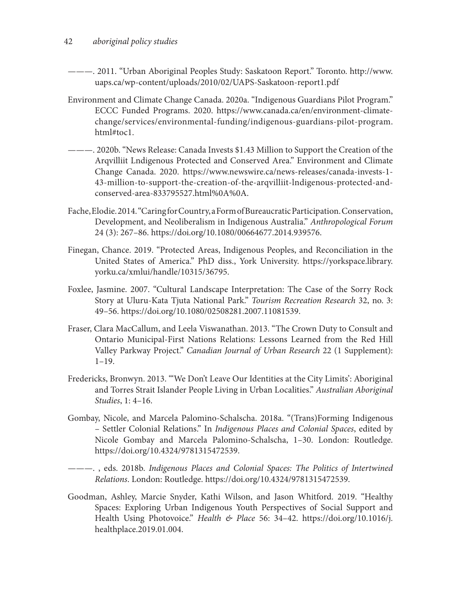- ———. 2011. "Urban Aboriginal Peoples Study: Saskatoon Report." Toronto. http://www. uaps.ca/wp-content/uploads/2010/02/UAPS-Saskatoon-report1.pdf
- Environment and Climate Change Canada. 2020a. "Indigenous Guardians Pilot Program." ECCC Funded Programs. 2020. https://www.canada.ca/en/environment-climatechange/services/environmental-funding/indigenous-guardians-pilot-program. html#toc1.
- ———. 2020b. "News Release: Canada Invests \$1.43 Million to Support the Creation of the Arqvilliit Lndigenous Protected and Conserved Area." Environment and Climate Change Canada. 2020. https://www.newswire.ca/news-releases/canada-invests-1- 43-million-to-support-the-creation-of-the-arqvilliit-lndigenous-protected-andconserved-area-833795527.html%0A%0A.
- Fache, Elodie. 2014. "Caring for Country, a Form of Bureaucratic Participation. Conservation, Development, and Neoliberalism in Indigenous Australia." *Anthropological Forum* 24 (3): 267–86. https://doi.org/10.1080/00664677.2014.939576.
- Finegan, Chance. 2019. "Protected Areas, Indigenous Peoples, and Reconciliation in the United States of America." PhD diss., York University. https://yorkspace.library. yorku.ca/xmlui/handle/10315/36795.
- Foxlee, Jasmine. 2007. "Cultural Landscape Interpretation: The Case of the Sorry Rock Story at Uluru-Kata Tjuta National Park." *Tourism Recreation Research* 32, no. 3: 49–56. https://doi.org/10.1080/02508281.2007.11081539.
- Fraser, Clara MacCallum, and Leela Viswanathan. 2013. "The Crown Duty to Consult and Ontario Municipal-First Nations Relations: Lessons Learned from the Red Hill Valley Parkway Project." *Canadian Journal of Urban Research* 22 (1 Supplement): 1–19.
- Fredericks, Bronwyn. 2013. "'We Don't Leave Our Identities at the City Limits': Aboriginal and Torres Strait Islander People Living in Urban Localities." *Australian Aboriginal Studies*, 1: 4–16.
- Gombay, Nicole, and Marcela Palomino-Schalscha. 2018a. "(Trans)Forming Indigenous – Settler Colonial Relations." In *Indigenous Places and Colonial Spaces*, edited by Nicole Gombay and Marcela Palomino-Schalscha, 1–30. London: Routledge. https://doi.org/10.4324/9781315472539.

———. , eds. 2018b. *Indigenous Places and Colonial Spaces: The Politics of Intertwined Relations*. London: Routledge. https://doi.org/10.4324/9781315472539.

Goodman, Ashley, Marcie Snyder, Kathi Wilson, and Jason Whitford. 2019. "Healthy Spaces: Exploring Urban Indigenous Youth Perspectives of Social Support and Health Using Photovoice." *Health & Place* 56: 34–42. https://doi.org/10.1016/j. healthplace.2019.01.004.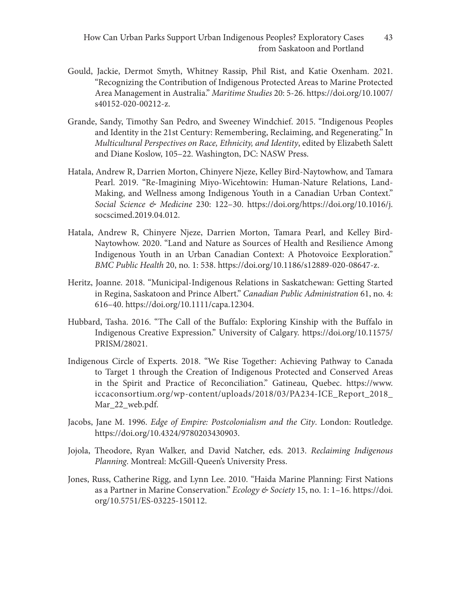- Gould, Jackie, Dermot Smyth, Whitney Rassip, Phil Rist, and Katie Oxenham. 2021. "Recognizing the Contribution of Indigenous Protected Areas to Marine Protected Area Management in Australia." *Maritime Studies* 20: 5-26. https://doi.org/10.1007/ s40152-020-00212-z.
- Grande, Sandy, Timothy San Pedro, and Sweeney Windchief. 2015. "Indigenous Peoples and Identity in the 21st Century: Remembering, Reclaiming, and Regenerating." In *Multicultural Perspectives on Race, Ethnicity, and Identity*, edited by Elizabeth Salett and Diane Koslow, 105–22. Washington, DC: NASW Press.
- Hatala, Andrew R, Darrien Morton, Chinyere Njeze, Kelley Bird-Naytowhow, and Tamara Pearl. 2019. "Re-Imagining Miyo-Wicehtowin: Human-Nature Relations, Land-Making, and Wellness among Indigenous Youth in a Canadian Urban Context." *Social Science & Medicine* 230: 122–30. https://doi.org/https://doi.org/10.1016/j. socscimed.2019.04.012.
- Hatala, Andrew R, Chinyere Njeze, Darrien Morton, Tamara Pearl, and Kelley Bird-Naytowhow. 2020. "Land and Nature as Sources of Health and Resilience Among Indigenous Youth in an Urban Canadian Context: A Photovoice Eexploration." *BMC Public Health* 20, no. 1: 538. https://doi.org/10.1186/s12889-020-08647-z.
- Heritz, Joanne. 2018. "Municipal-Indigenous Relations in Saskatchewan: Getting Started in Regina, Saskatoon and Prince Albert." *Canadian Public Administration* 61, no. 4: 616–40. https://doi.org/10.1111/capa.12304.
- Hubbard, Tasha. 2016. "The Call of the Buffalo: Exploring Kinship with the Buffalo in Indigenous Creative Expression." University of Calgary. https://doi.org/10.11575/ PRISM/28021.
- Indigenous Circle of Experts. 2018. "We Rise Together: Achieving Pathway to Canada to Target 1 through the Creation of Indigenous Protected and Conserved Areas in the Spirit and Practice of Reconciliation." Gatineau, Quebec. https://www. iccaconsortium.org/wp-content/uploads/2018/03/PA234-ICE\_Report\_2018\_ Mar\_22\_web.pdf.
- Jacobs, Jane M. 1996. *Edge of Empire: Postcolonialism and the City*. London: Routledge. https://doi.org/10.4324/9780203430903.
- Jojola, Theodore, Ryan Walker, and David Natcher, eds. 2013. *Reclaiming Indigenous Planning*. Montreal: McGill-Queen's University Press.
- Jones, Russ, Catherine Rigg, and Lynn Lee. 2010. "Haida Marine Planning: First Nations as a Partner in Marine Conservation." *Ecology & Society* 15, no. 1: 1–16. https://doi. org/10.5751/ES-03225-150112.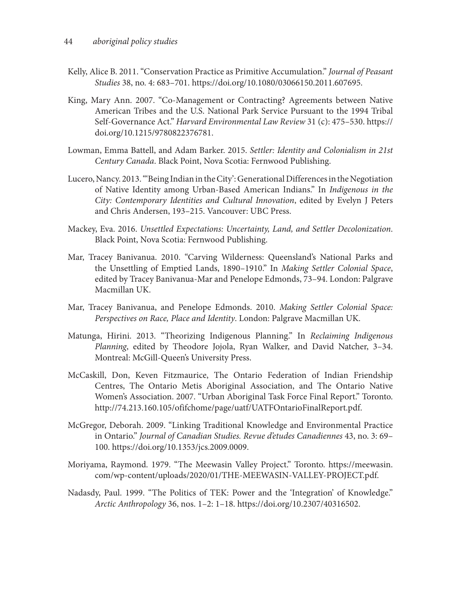- Kelly, Alice B. 2011. "Conservation Practice as Primitive Accumulation." *Journal of Peasant Studies* 38, no. 4: 683–701. https://doi.org/10.1080/03066150.2011.607695.
- King, Mary Ann. 2007. "Co-Management or Contracting? Agreements between Native American Tribes and the U.S. National Park Service Pursuant to the 1994 Tribal Self-Governance Act." *Harvard Environmental Law Review* 31 (c): 475–530. https:// doi.org/10.1215/9780822376781.
- Lowman, Emma Battell, and Adam Barker. 2015. *Settler: Identity and Colonialism in 21st Century Canada*. Black Point, Nova Scotia: Fernwood Publishing.
- Lucero, Nancy. 2013. "'Being Indian in the City': Generational Differences in the Negotiation of Native Identity among Urban-Based American Indians." In *Indigenous in the City: Contemporary Identities and Cultural Innovation*, edited by Evelyn J Peters and Chris Andersen, 193–215. Vancouver: UBC Press.
- Mackey, Eva. 2016. *Unsettled Expectations: Uncertainty, Land, and Settler Decolonization*. Black Point, Nova Scotia: Fernwood Publishing.
- Mar, Tracey Banivanua. 2010. "Carving Wilderness: Queensland's National Parks and the Unsettling of Emptied Lands, 1890–1910." In *Making Settler Colonial Space*, edited by Tracey Banivanua-Mar and Penelope Edmonds, 73–94. London: Palgrave Macmillan UK.
- Mar, Tracey Banivanua, and Penelope Edmonds. 2010. *Making Settler Colonial Space: Perspectives on Race, Place and Identity*. London: Palgrave Macmillan UK.
- Matunga, Hirini. 2013. "Theorizing Indigenous Planning." In *Reclaiming Indigenous Planning*, edited by Theodore Jojola, Ryan Walker, and David Natcher, 3–34. Montreal: McGill-Queen's University Press.
- McCaskill, Don, Keven Fitzmaurice, The Ontario Federation of Indian Friendship Centres, The Ontario Metis Aboriginal Association, and The Ontario Native Women's Association. 2007. "Urban Aboriginal Task Force Final Report." Toronto. http://74.213.160.105/ofifchome/page/uatf/UATFOntarioFinalReport.pdf.
- McGregor, Deborah. 2009. "Linking Traditional Knowledge and Environmental Practice in Ontario." *Journal of Canadian Studies. Revue d'etudes Canadiennes* 43, no. 3: 69– 100. https://doi.org/10.1353/jcs.2009.0009.
- Moriyama, Raymond. 1979. "The Meewasin Valley Project." Toronto. https://meewasin. com/wp-content/uploads/2020/01/THE-MEEWASIN-VALLEY-PROJECT.pdf.
- Nadasdy, Paul. 1999. "The Politics of TEK: Power and the 'Integration' of Knowledge." *Arctic Anthropology* 36, nos. 1–2: 1–18. https://doi.org/10.2307/40316502.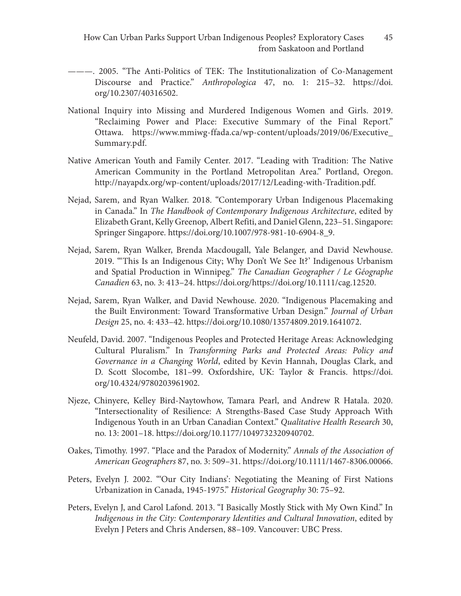- ———. 2005. "The Anti-Politics of TEK: The Institutionalization of Co-Management Discourse and Practice." *Anthropologica* 47, no. 1: 215–32. https://doi. org/10.2307/40316502.
- National Inquiry into Missing and Murdered Indigenous Women and Girls. 2019. "Reclaiming Power and Place: Executive Summary of the Final Report." Ottawa. https://www.mmiwg-ffada.ca/wp-content/uploads/2019/06/Executive\_ Summary.pdf.
- Native American Youth and Family Center. 2017. "Leading with Tradition: The Native American Community in the Portland Metropolitan Area." Portland, Oregon. http://nayapdx.org/wp-content/uploads/2017/12/Leading-with-Tradition.pdf.
- Nejad, Sarem, and Ryan Walker. 2018. "Contemporary Urban Indigenous Placemaking in Canada." In *The Handbook of Contemporary Indigenous Architecture*, edited by Elizabeth Grant, Kelly Greenop, Albert Refiti, and Daniel Glenn, 223–51. Singapore: Springer Singapore. https://doi.org/10.1007/978-981-10-6904-8\_9.
- Nejad, Sarem, Ryan Walker, Brenda Macdougall, Yale Belanger, and David Newhouse. 2019. "'This Is an Indigenous City; Why Don't We See It?' Indigenous Urbanism and Spatial Production in Winnipeg." *The Canadian Geographer / Le Géographe Canadien* 63, no. 3: 413–24. https://doi.org/https://doi.org/10.1111/cag.12520.
- Nejad, Sarem, Ryan Walker, and David Newhouse. 2020. "Indigenous Placemaking and the Built Environment: Toward Transformative Urban Design." *Journal of Urban Design* 25, no. 4: 433–42. https://doi.org/10.1080/13574809.2019.1641072.
- Neufeld, David. 2007. "Indigenous Peoples and Protected Heritage Areas: Acknowledging Cultural Pluralism." In *Transforming Parks and Protected Areas: Policy and Governance in a Changing World*, edited by Kevin Hannah, Douglas Clark, and D. Scott Slocombe, 181–99. Oxfordshire, UK: Taylor & Francis. https://doi. org/10.4324/9780203961902.
- Njeze, Chinyere, Kelley Bird-Naytowhow, Tamara Pearl, and Andrew R Hatala. 2020. "Intersectionality of Resilience: A Strengths-Based Case Study Approach With Indigenous Youth in an Urban Canadian Context." *Qualitative Health Research* 30, no. 13: 2001–18. https://doi.org/10.1177/1049732320940702.
- Oakes, Timothy. 1997. "Place and the Paradox of Modernity." *Annals of the Association of American Geographers* 87, no. 3: 509–31. https://doi.org/10.1111/1467-8306.00066.
- Peters, Evelyn J. 2002. "'Our City Indians': Negotiating the Meaning of First Nations Urbanization in Canada, 1945-1975." *Historical Geography* 30: 75–92.
- Peters, Evelyn J, and Carol Lafond. 2013. "I Basically Mostly Stick with My Own Kind." In *Indigenous in the City: Contemporary Identities and Cultural Innovation*, edited by Evelyn J Peters and Chris Andersen, 88–109. Vancouver: UBC Press.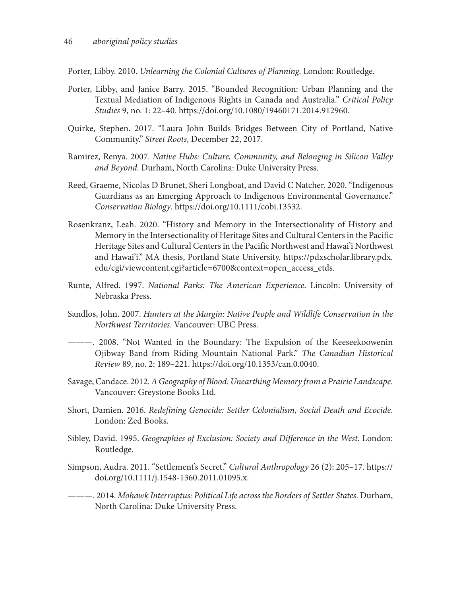Porter, Libby. 2010. *Unlearning the Colonial Cultures of Planning*. London: Routledge.

- Porter, Libby, and Janice Barry. 2015. "Bounded Recognition: Urban Planning and the Textual Mediation of Indigenous Rights in Canada and Australia." *Critical Policy Studies* 9, no. 1: 22–40. https://doi.org/10.1080/19460171.2014.912960.
- Quirke, Stephen. 2017. "Laura John Builds Bridges Between City of Portland, Native Community." *Street Roots*, December 22, 2017.
- Ramirez, Renya. 2007. *Native Hubs: Culture, Community, and Belonging in Silicon Valley and Beyond*. Durham, North Carolina: Duke University Press.
- Reed, Graeme, Nicolas D Brunet, Sheri Longboat, and David C Natcher. 2020. "Indigenous Guardians as an Emerging Approach to Indigenous Environmental Governance." *Conservation Biology*. https://doi.org/10.1111/cobi.13532.
- Rosenkranz, Leah. 2020. "History and Memory in the Intersectionality of History and Memory in the Intersectionality of Heritage Sites and Cultural Centers in the Pacific Heritage Sites and Cultural Centers in the Pacific Northwest and Hawai'i Northwest and Hawai'i." MA thesis, Portland State University. https://pdxscholar.library.pdx. edu/cgi/viewcontent.cgi?article=6700&context=open\_access\_etds.
- Runte, Alfred. 1997. *National Parks: The American Experience*. Lincoln: University of Nebraska Press.
- Sandlos, John. 2007. *Hunters at the Margin: Native People and Wildlife Conservation in the Northwest Territories*. Vancouver: UBC Press.
- ———. 2008. "Not Wanted in the Boundary: The Expulsion of the Keeseekoowenin Ojibway Band from Riding Mountain National Park." *The Canadian Historical Review* 89, no. 2: 189–221. https://doi.org/10.1353/can.0.0040.
- Savage, Candace. 2012. *A Geography of Blood: Unearthing Memory from a Prairie Landscape*. Vancouver: Greystone Books Ltd.
- Short, Damien. 2016. *Redefining Genocide: Settler Colonialism, Social Death and Ecocide*. London: Zed Books.
- Sibley, David. 1995. *Geographies of Exclusion: Society and Difference in the West*. London: Routledge.
- Simpson, Audra. 2011. "Settlement's Secret." *Cultural Anthropology* 26 (2): 205–17. https:// doi.org/10.1111/j.1548-1360.2011.01095.x.
- ———. 2014. *Mohawk Interruptus: Political Life across the Borders of Settler States*. Durham, North Carolina: Duke University Press.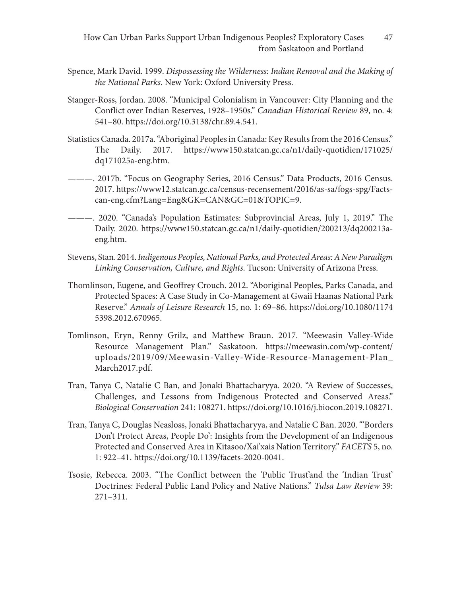- Spence, Mark David. 1999. *Dispossessing the Wilderness: Indian Removal and the Making of the National Parks*. New York: Oxford University Press.
- Stanger-Ross, Jordan. 2008. "Municipal Colonialism in Vancouver: City Planning and the Conflict over Indian Reserves, 1928–1950s." *Canadian Historical Review* 89, no. 4: 541–80. https://doi.org/10.3138/chr.89.4.541.
- Statistics Canada. 2017a. "Aboriginal Peoples in Canada: Key Results from the 2016 Census." The Daily. 2017. https://www150.statcan.gc.ca/n1/daily-quotidien/171025/ dq171025a-eng.htm.
- ———. 2017b. "Focus on Geography Series, 2016 Census." Data Products, 2016 Census. 2017. https://www12.statcan.gc.ca/census-recensement/2016/as-sa/fogs-spg/Factscan-eng.cfm?Lang=Eng&GK=CAN&GC=01&TOPIC=9.
- ———. 2020. "Canada's Population Estimates: Subprovincial Areas, July 1, 2019." The Daily. 2020. https://www150.statcan.gc.ca/n1/daily-quotidien/200213/dq200213aeng.htm.
- Stevens, Stan. 2014. *Indigenous Peoples, National Parks, and Protected Areas: A New Paradigm Linking Conservation, Culture, and Rights*. Tucson: University of Arizona Press.
- Thomlinson, Eugene, and Geoffrey Crouch. 2012. "Aboriginal Peoples, Parks Canada, and Protected Spaces: A Case Study in Co-Management at Gwaii Haanas National Park Reserve." *Annals of Leisure Research* 15, no. 1: 69–86. https://doi.org/10.1080/1174 5398.2012.670965.
- Tomlinson, Eryn, Renny Grilz, and Matthew Braun. 2017. "Meewasin Valley-Wide Resource Management Plan." Saskatoon. https://meewasin.com/wp-content/ uploads/2019/09/Meewasin-Valley-Wide-Resource-Management-Plan\_ March2017.pdf.
- Tran, Tanya C, Natalie C Ban, and Jonaki Bhattacharyya. 2020. "A Review of Successes, Challenges, and Lessons from Indigenous Protected and Conserved Areas." *Biological Conservation* 241: 108271. https://doi.org/10.1016/j.biocon.2019.108271.
- Tran, Tanya C, Douglas Neasloss, Jonaki Bhattacharyya, and Natalie C Ban. 2020. "'Borders Don't Protect Areas, People Do': Insights from the Development of an Indigenous Protected and Conserved Area in Kitasoo/Xai'xais Nation Territory." *FACETS* 5, no. 1: 922–41. https://doi.org/10.1139/facets-2020-0041.
- Tsosie, Rebecca. 2003. "The Conflict between the 'Public Trust'and the 'Indian Trust' Doctrines: Federal Public Land Policy and Native Nations." *Tulsa Law Review* 39: 271–311.